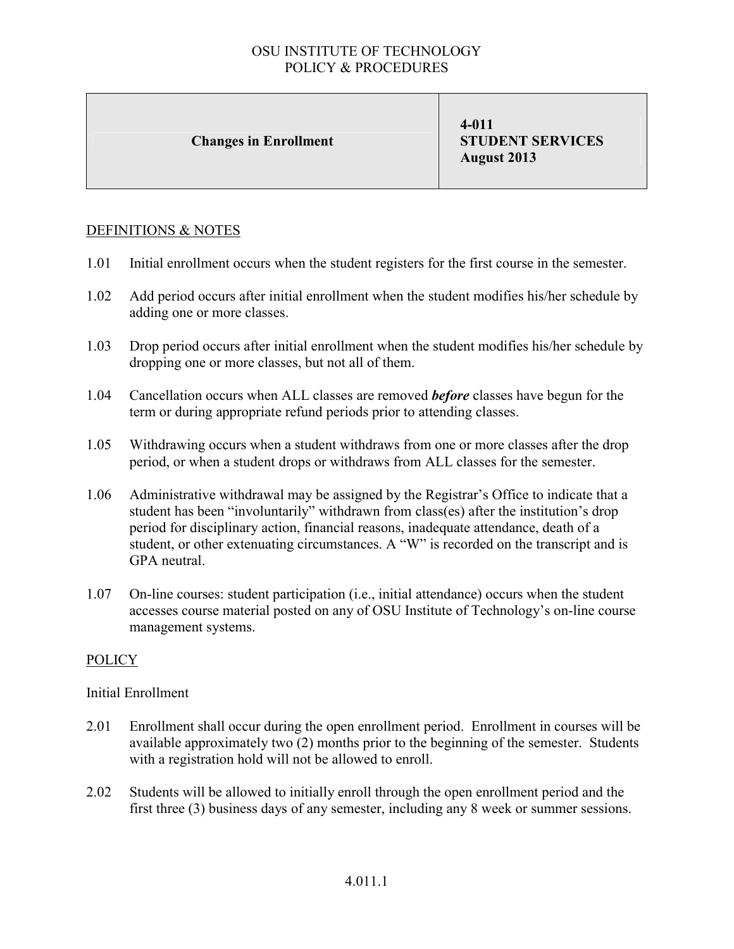### Changes in Enrollment

4-011 STUDENT SERVICES August 2013

### DEFINITIONS & NOTES

- 1.01 Initial enrollment occurs when the student registers for the first course in the semester.
- 1.02 Add period occurs after initial enrollment when the student modifies his/her schedule by adding one or more classes.
- 1.03 Drop period occurs after initial enrollment when the student modifies his/her schedule by dropping one or more classes, but not all of them.
- 1.04 Cancellation occurs when ALL classes are removed *before* classes have begun for the term or during appropriate refund periods prior to attending classes.
- 1.05 Withdrawing occurs when a student withdraws from one or more classes after the drop period, or when a student drops or withdraws from ALL classes for the semester.
- 1.06 Administrative withdrawal may be assigned by the Registrar's Office to indicate that a student has been "involuntarily" withdrawn from class(es) after the institution's drop period for disciplinary action, financial reasons, inadequate attendance, death of a student, or other extenuating circumstances. A "W" is recorded on the transcript and is GPA neutral.
- 1.07 On-line courses: student participation (i.e., initial attendance) occurs when the student accesses course material posted on any of OSU Institute of Technology's on-line course management systems.

## **POLICY**

### Initial Enrollment

- 2.01 Enrollment shall occur during the open enrollment period. Enrollment in courses will be available approximately two (2) months prior to the beginning of the semester. Students with a registration hold will not be allowed to enroll.
- 2.02 Students will be allowed to initially enroll through the open enrollment period and the first three (3) business days of any semester, including any 8 week or summer sessions.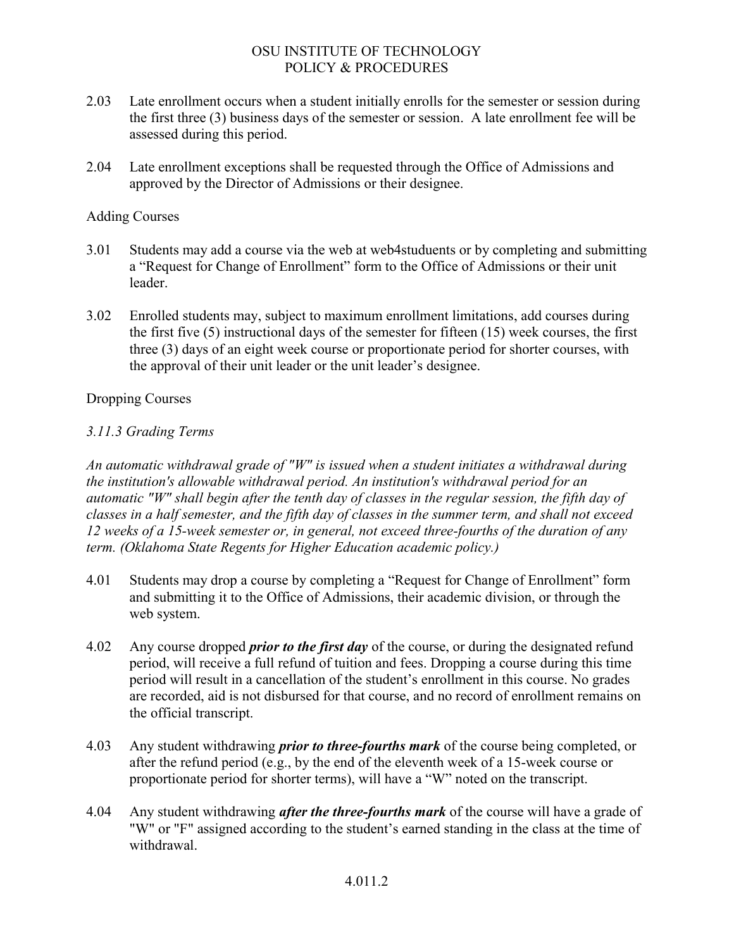- 2.03 Late enrollment occurs when a student initially enrolls for the semester or session during the first three (3) business days of the semester or session. A late enrollment fee will be assessed during this period.
- 2.04 Late enrollment exceptions shall be requested through the Office of Admissions and approved by the Director of Admissions or their designee.

### Adding Courses

- 3.01 Students may add a course via the web at web4studuents or by completing and submitting a "Request for Change of Enrollment" form to the Office of Admissions or their unit leader.
- 3.02 Enrolled students may, subject to maximum enrollment limitations, add courses during the first five (5) instructional days of the semester for fifteen (15) week courses, the first three (3) days of an eight week course or proportionate period for shorter courses, with the approval of their unit leader or the unit leader's designee.

### Dropping Courses

## *3.11.3 Grading Terms*

*An automatic withdrawal grade of "W" is issued when a student initiates a withdrawal during the institution's allowable withdrawal period. An institution's withdrawal period for an automatic "W" shall begin after the tenth day of classes in the regular session, the fifth day of classes in a half semester, and the fifth day of classes in the summer term, and shall not exceed 12 weeks of a 15-week semester or, in general, not exceed three-fourths of the duration of any term. (Oklahoma State Regents for Higher Education academic policy.)*

- 4.01 Students may drop a course by completing a "Request for Change of Enrollment" form and submitting it to the Office of Admissions, their academic division, or through the web system.
- 4.02 Any course dropped *prior to the first day* of the course, or during the designated refund period, will receive a full refund of tuition and fees. Dropping a course during this time period will result in a cancellation of the student's enrollment in this course. No grades are recorded, aid is not disbursed for that course, and no record of enrollment remains on the official transcript.
- 4.03 Any student withdrawing *prior to three-fourths mark* of the course being completed, or after the refund period (e.g., by the end of the eleventh week of a 15-week course or proportionate period for shorter terms), will have a "W" noted on the transcript.
- 4.04 Any student withdrawing *after the three-fourths mark* of the course will have a grade of "W" or "F" assigned according to the student's earned standing in the class at the time of withdrawal.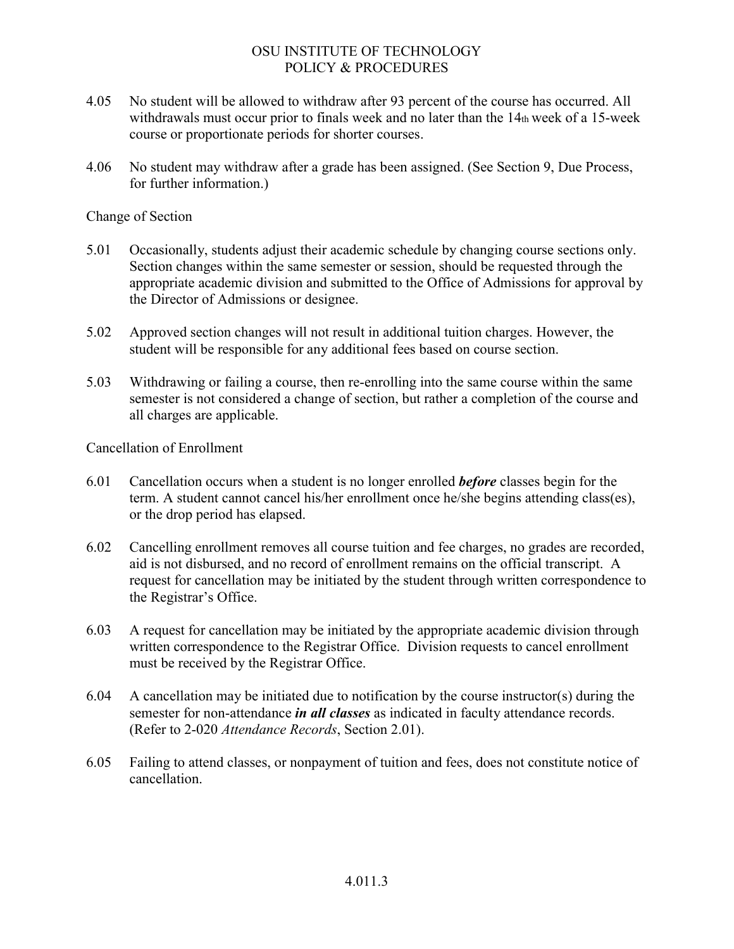- 4.05 No student will be allowed to withdraw after 93 percent of the course has occurred. All withdrawals must occur prior to finals week and no later than the 14th week of a 15-week course or proportionate periods for shorter courses.
- 4.06 No student may withdraw after a grade has been assigned. (See Section 9, Due Process, for further information.)

Change of Section

- 5.01 Occasionally, students adjust their academic schedule by changing course sections only. Section changes within the same semester or session, should be requested through the appropriate academic division and submitted to the Office of Admissions for approval by the Director of Admissions or designee.
- 5.02 Approved section changes will not result in additional tuition charges. However, the student will be responsible for any additional fees based on course section.
- 5.03 Withdrawing or failing a course, then re-enrolling into the same course within the same semester is not considered a change of section, but rather a completion of the course and all charges are applicable.

Cancellation of Enrollment

- 6.01 Cancellation occurs when a student is no longer enrolled *before* classes begin for the term. A student cannot cancel his/her enrollment once he/she begins attending class(es), or the drop period has elapsed.
- 6.02 Cancelling enrollment removes all course tuition and fee charges, no grades are recorded, aid is not disbursed, and no record of enrollment remains on the official transcript. A request for cancellation may be initiated by the student through written correspondence to the Registrar's Office.
- 6.03 A request for cancellation may be initiated by the appropriate academic division through written correspondence to the Registrar Office. Division requests to cancel enrollment must be received by the Registrar Office.
- 6.04 A cancellation may be initiated due to notification by the course instructor(s) during the semester for non-attendance *in all classes* as indicated in faculty attendance records. (Refer to 2-020 *Attendance Records*, Section 2.01).
- 6.05 Failing to attend classes, or nonpayment of tuition and fees, does not constitute notice of cancellation.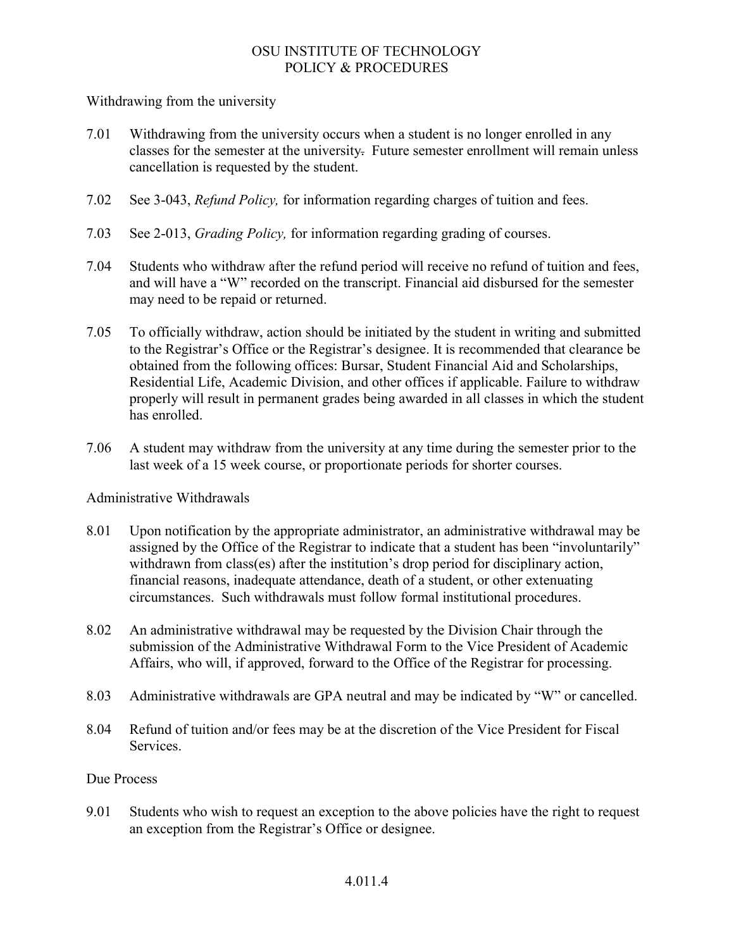Withdrawing from the university

- 7.01 Withdrawing from the university occurs when a student is no longer enrolled in any classes for the semester at the university. Future semester enrollment will remain unless cancellation is requested by the student.
- 7.02 See 3-043, *Refund Policy,* for information regarding charges of tuition and fees.
- 7.03 See 2-013, *Grading Policy,* for information regarding grading of courses.
- 7.04 Students who withdraw after the refund period will receive no refund of tuition and fees, and will have a "W" recorded on the transcript. Financial aid disbursed for the semester may need to be repaid or returned.
- 7.05 To officially withdraw, action should be initiated by the student in writing and submitted to the Registrar's Office or the Registrar's designee. It is recommended that clearance be obtained from the following offices: Bursar, Student Financial Aid and Scholarships, Residential Life, Academic Division, and other offices if applicable. Failure to withdraw properly will result in permanent grades being awarded in all classes in which the student has enrolled.
- 7.06 A student may withdraw from the university at any time during the semester prior to the last week of a 15 week course, or proportionate periods for shorter courses.

### Administrative Withdrawals

- 8.01 Upon notification by the appropriate administrator, an administrative withdrawal may be assigned by the Office of the Registrar to indicate that a student has been "involuntarily" withdrawn from class(es) after the institution's drop period for disciplinary action, financial reasons, inadequate attendance, death of a student, or other extenuating circumstances. Such withdrawals must follow formal institutional procedures.
- 8.02 An administrative withdrawal may be requested by the Division Chair through the submission of the Administrative Withdrawal Form to the Vice President of Academic Affairs, who will, if approved, forward to the Office of the Registrar for processing.
- 8.03 Administrative withdrawals are GPA neutral and may be indicated by "W" or cancelled.
- 8.04 Refund of tuition and/or fees may be at the discretion of the Vice President for Fiscal Services.

### Due Process

9.01 Students who wish to request an exception to the above policies have the right to request an exception from the Registrar's Office or designee.